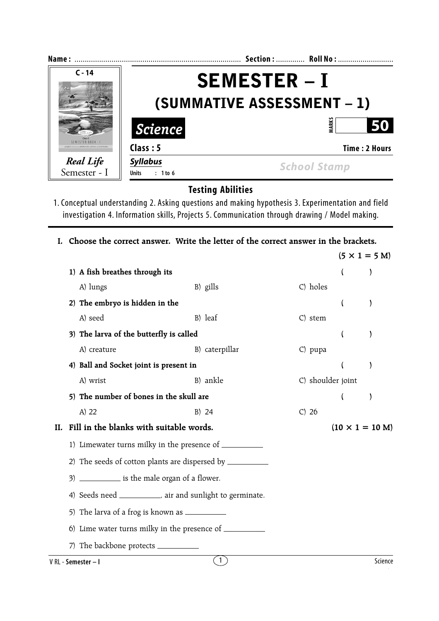| Name:                                                                             |                                     | Section:  Roll No:  |  |  |  |
|-----------------------------------------------------------------------------------|-------------------------------------|---------------------|--|--|--|
| $C - 14$                                                                          | <b>SEMESTER-I</b>                   |                     |  |  |  |
|                                                                                   | (SUMMATIVE ASSESSMENT – 1)          |                     |  |  |  |
|                                                                                   | <b>Science</b>                      | ARK:<br>50          |  |  |  |
| <b>SEMESTER BOOK - I</b><br>with Grammari . Mathematics . Science . Social Studie | Class: 5                            | Time: 2 Hours       |  |  |  |
| Real Life<br>Semester - I                                                         | <b>Syllabus</b><br>Units $: 1$ to 6 | <b>School Stamp</b> |  |  |  |

**Testing Abilities**

1. Conceptual understanding 2. Asking questions and making hypothesis 3. Experimentation and field investigation 4. Information skills, Projects 5. Communication through drawing / Model making.

**I. Choose the correct answer. Write the letter of the correct answer in the brackets.**  $(5 \times 1 = 5 \text{ M})$ **1) A fish breathes through its ( )** A) lungs B) gills C) holes **2) The embryo is hidden in the ( )** A) seed B) leaf C) stem **3) The larva of the butterfly is called ( )** A) creature B) caterpillar C) pupa **4) Ball and Socket joint is present in ( )** A) wrist B) ankle C) shoulder joint **5) The number of bones in the skull are ( )** A) 22 B) 24 C) 26 **II.** Fill in the blanks with suitable words.  $(10 \times 1 = 10 \text{ M})$ 1) Limewater turns milky in the presence of  $\sqrt{ }$ 2) The seeds of cotton plants are dispersed by 3) \_\_\_\_\_\_\_\_\_\_\_\_ is the male organ of a flower. 4) Seeds need \_\_\_\_\_\_\_\_\_\_\_, air and sunlight to germinate. 5) The larva of a frog is known as 6) Lime water turns milky in the presence of 7) The backbone protects V RL - **Semester – I** Science